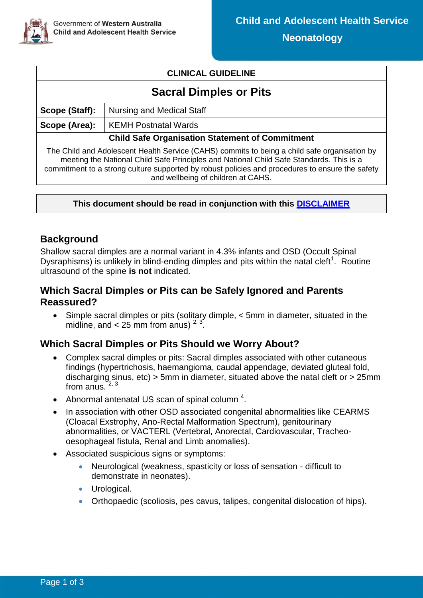

#### **CLINICAL GUIDELINE**

# **Sacral Dimples or Pits**

| Nursing and Medical Staff<br>Scope (Staff):                                                                                                                                                                                                                                                                                      |                             |  |  |  |  |  |
|----------------------------------------------------------------------------------------------------------------------------------------------------------------------------------------------------------------------------------------------------------------------------------------------------------------------------------|-----------------------------|--|--|--|--|--|
| Scope (Area):                                                                                                                                                                                                                                                                                                                    | <b>KEMH Postnatal Wards</b> |  |  |  |  |  |
| <b>Child Safe Organisation Statement of Commitment</b>                                                                                                                                                                                                                                                                           |                             |  |  |  |  |  |
| The Child and Adolescent Health Service (CAHS) commits to being a child safe organisation by<br>meeting the National Child Safe Principles and National Child Safe Standards. This is a<br>commitment to a strong culture supported by robust policies and procedures to ensure the safety<br>and wellbeing of children at CAHS. |                             |  |  |  |  |  |

#### **This document should be read in conjunction with this [DISCLAIMER](https://healthpoint.hdwa.health.wa.gov.au/policies/Policies/CAHS/CAHS.PM.ClinicalDisclaimer.pdf)**

## **Background**

Shallow sacral dimples are a normal variant in 4.3% infants and OSD (Occult Spinal Dysraphisms) is unlikely in blind-ending dimples and pits within the natal cleft<sup>1</sup>. Routine ultrasound of the spine **is not** indicated.

#### **Which Sacral Dimples or Pits can be Safely Ignored and Parents Reassured?**

 Simple sacral dimples or pits (solitary dimple, < 5mm in diameter, situated in the midline, and  $<$  25 mm from anus)<sup>2, 3</sup> .

## **Which Sacral Dimples or Pits Should we Worry About?**

- Complex sacral dimples or pits: Sacral dimples associated with other cutaneous findings (hypertrichosis, haemangioma, caudal appendage, deviated gluteal fold, discharging sinus, etc) > 5mm in diameter, situated above the natal cleft or > 25mm from anus.  $2,3$
- Abnormal antenatal US scan of spinal column  $4$ .
- In association with other OSD associated congenital abnormalities like CEARMS (Cloacal Exstrophy, Ano-Rectal Malformation Spectrum), genitourinary abnormalities, or VACTERL (Vertebral, Anorectal, Cardiovascular, Tracheooesophageal fistula, Renal and Limb anomalies).
- Associated suspicious signs or symptoms:
	- Neurological (weakness, spasticity or loss of sensation difficult to demonstrate in neonates).
	- **•** Urological.
	- Orthopaedic (scoliosis, pes cavus, talipes, congenital dislocation of hips).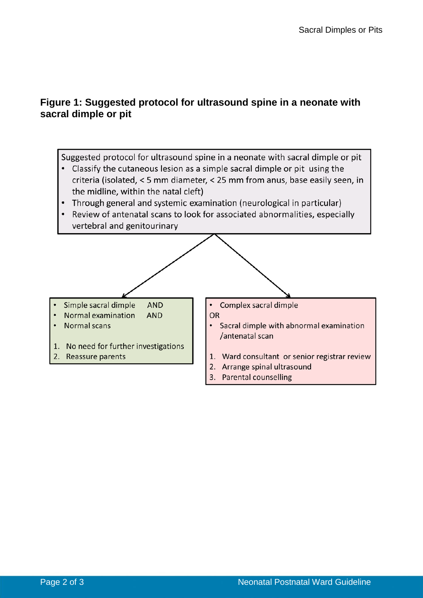# **Figure 1: Suggested protocol for ultrasound spine in a neonate with sacral dimple or pit**